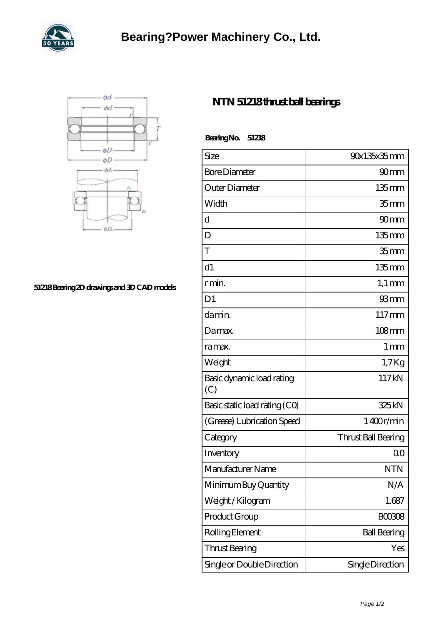



## **[51218 Bearing 2D drawings and 3D CAD models](https://gyofw.com/pic-41651.html)**

## **[NTN 51218 thrust ball bearings](https://gyofw.com/af-41651-ntn-51218-thrust-ball-bearings.html)**

| BearingNo.<br>51218              |                     |
|----------------------------------|---------------------|
| Size                             | 90x135x35mm         |
| <b>Bore Diameter</b>             | 90 <sub>mm</sub>    |
| Outer Diameter                   | $135$ mm            |
| Width                            | 35 <sub>mm</sub>    |
| d                                | 90 <sub>mm</sub>    |
| D                                | $135 \text{mm}$     |
| T                                | 35 <sub>mm</sub>    |
| d1                               | $135$ mm            |
| r min.                           | $1,1 \text{ mm}$    |
| D <sub>1</sub>                   | 93mm                |
| da min.                          | $117 \text{mm}$     |
| Damax.                           | 108mm               |
| ra max.                          | $1 \,\mathrm{mm}$   |
| Weight                           | $1,7$ Kg            |
| Basic dynamic load rating<br>(C) | 117kN               |
| Basic static load rating (CO)    | 325kN               |
| (Grease) Lubrication Speed       | 1400r/min           |
| Category                         | Thrust Ball Bearing |
| Inventory                        | 0 <sup>0</sup>      |
| Manufacturer Name                | <b>NTN</b>          |
| Minimum Buy Quantity             | N/A                 |
| Weight / Kilogram                | 1.687               |
| Product Group                    | <b>BOO308</b>       |
| Rolling Element                  | <b>Ball Bearing</b> |
| Thrust Bearing                   | Yes                 |
| Single or Double Direction       | Single Direction    |